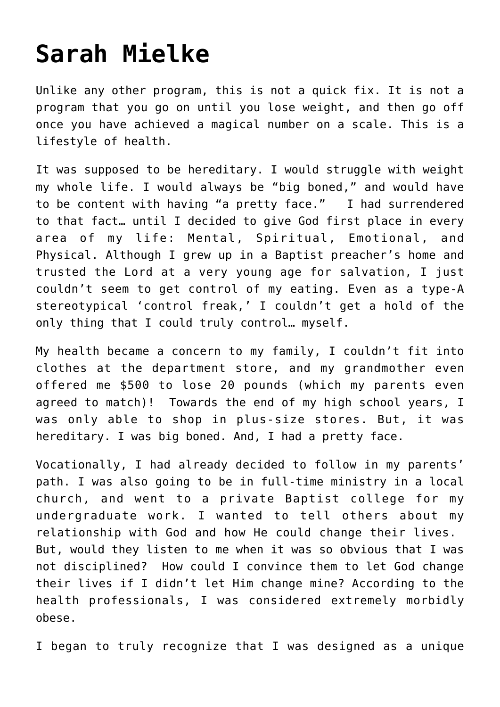## **[Sarah Mielke](https://www.firstplaceforhealth.com/sarah-mielke/)**

Unlike any other program, this is not a quick fix. It is not a program that you go on until you lose weight, and then go off once you have achieved a magical number on a scale. This is a lifestyle of health.

It was supposed to be hereditary. I would struggle with weight my whole life. I would always be "big boned," and would have to be content with having "a pretty face." I had surrendered to that fact… until I decided to give God first place in every area of my life: Mental, Spiritual, Emotional, and Physical. Although I grew up in a Baptist preacher's home and trusted the Lord at a very young age for salvation, I just couldn't seem to get control of my eating. Even as a type-A stereotypical 'control freak,' I couldn't get a hold of the only thing that I could truly control… myself.

My health became a concern to my family, I couldn't fit into clothes at the department store, and my grandmother even offered me \$500 to lose 20 pounds (which my parents even agreed to match)! Towards the end of my high school years, I was only able to shop in plus-size stores. But, it was hereditary. I was big boned. And, I had a pretty face.

Vocationally, I had already decided to follow in my parents' path. I was also going to be in full-time ministry in a local church, and went to a private Baptist college for my undergraduate work. I wanted to tell others about my relationship with God and how He could change their lives. But, would they listen to me when it was so obvious that I was not disciplined? How could I convince them to let God change their lives if I didn't let Him change mine? According to the health professionals, I was considered extremely morbidly obese.

I began to truly recognize that I was designed as a unique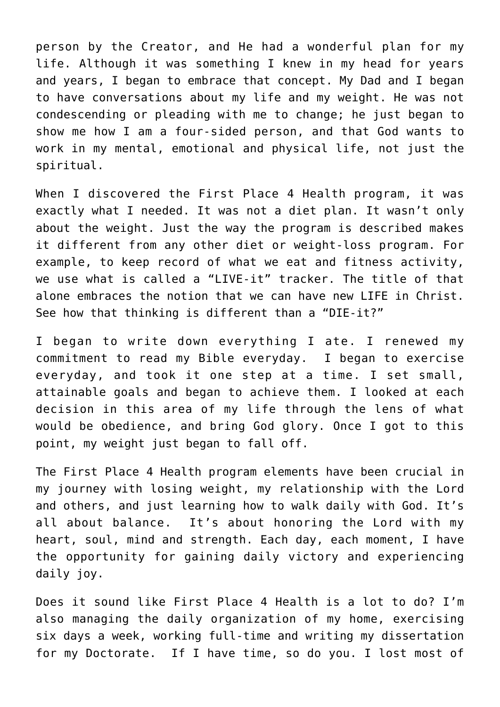person by the Creator, and He had a wonderful plan for my life. Although it was something I knew in my head for years and years, I began to embrace that concept. My Dad and I began to have conversations about my life and my weight. He was not condescending or pleading with me to change; he just began to show me how I am a four-sided person, and that God wants to work in my mental, emotional and physical life, not just the spiritual.

When I discovered the First Place 4 Health program, it was exactly what I needed. It was not a diet plan. It wasn't only about the weight. Just the way the program is described makes it different from any other diet or weight-loss program. For example, to keep record of what we eat and fitness activity, we use what is called a "LIVE-it" tracker. The title of that alone embraces the notion that we can have new LIFE in Christ. See how that thinking is different than a "DIE-it?"

I began to write down everything I ate. I renewed my commitment to read my Bible everyday. I began to exercise everyday, and took it one step at a time. I set small, attainable goals and began to achieve them. I looked at each decision in this area of my life through the lens of what would be obedience, and bring God glory. Once I got to this point, my weight just began to fall off.

The First Place 4 Health program elements have been crucial in my journey with losing weight, my relationship with the Lord and others, and just learning how to walk daily with God. It's all about balance. It's about honoring the Lord with my heart, soul, mind and strength. Each day, each moment, I have the opportunity for gaining daily victory and experiencing daily joy.

Does it sound like First Place 4 Health is a lot to do? I'm also managing the daily organization of my home, exercising six days a week, working full-time and writing my dissertation for my Doctorate. If I have time, so do you. I lost most of